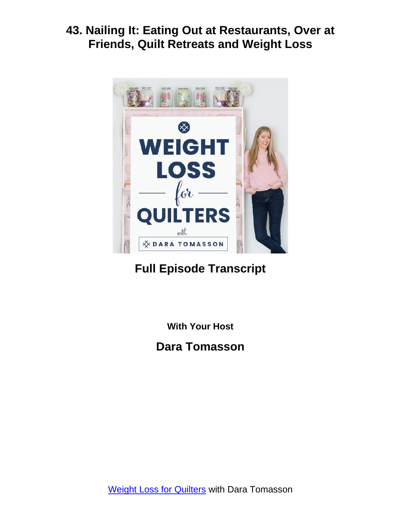

# **Full Episode Transcript**

**With Your Host**

**Dara Tomasson**

Weight Loss for [Quilters](https://daratomasson.com/) with Dara Tomasson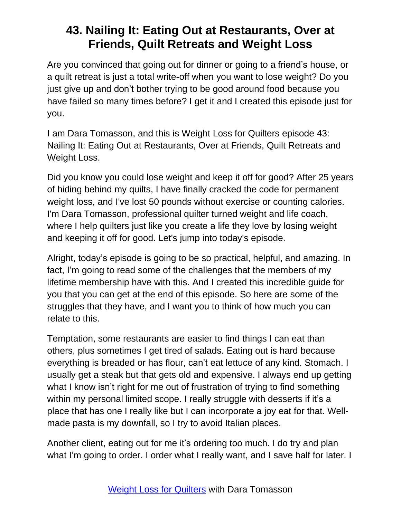Are you convinced that going out for dinner or going to a friend's house, or a quilt retreat is just a total write-off when you want to lose weight? Do you just give up and don't bother trying to be good around food because you have failed so many times before? I get it and I created this episode just for you.

I am Dara Tomasson, and this is Weight Loss for Quilters episode 43: Nailing It: Eating Out at Restaurants, Over at Friends, Quilt Retreats and Weight Loss.

Did you know you could lose weight and keep it off for good? After 25 years of hiding behind my quilts, I have finally cracked the code for permanent weight loss, and I've lost 50 pounds without exercise or counting calories. I'm Dara Tomasson, professional quilter turned weight and life coach, where I help quilters just like you create a life they love by losing weight and keeping it off for good. Let's jump into today's episode.

Alright, today's episode is going to be so practical, helpful, and amazing. In fact, I'm going to read some of the challenges that the members of my lifetime membership have with this. And I created this incredible guide for you that you can get at the end of this episode. So here are some of the struggles that they have, and I want you to think of how much you can relate to this.

Temptation, some restaurants are easier to find things I can eat than others, plus sometimes I get tired of salads. Eating out is hard because everything is breaded or has flour, can't eat lettuce of any kind. Stomach. I usually get a steak but that gets old and expensive. I always end up getting what I know isn't right for me out of frustration of trying to find something within my personal limited scope. I really struggle with desserts if it's a place that has one I really like but I can incorporate a joy eat for that. Wellmade pasta is my downfall, so I try to avoid Italian places.

Another client, eating out for me it's ordering too much. I do try and plan what I'm going to order. I order what I really want, and I save half for later. I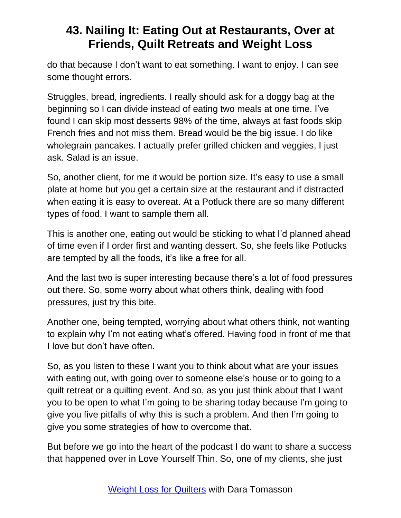do that because I don't want to eat something. I want to enjoy. I can see some thought errors.

Struggles, bread, ingredients. I really should ask for a doggy bag at the beginning so I can divide instead of eating two meals at one time. I've found I can skip most desserts 98% of the time, always at fast foods skip French fries and not miss them. Bread would be the big issue. I do like wholegrain pancakes. I actually prefer grilled chicken and veggies, I just ask. Salad is an issue.

So, another client, for me it would be portion size. It's easy to use a small plate at home but you get a certain size at the restaurant and if distracted when eating it is easy to overeat. At a Potluck there are so many different types of food. I want to sample them all.

This is another one, eating out would be sticking to what I'd planned ahead of time even if I order first and wanting dessert. So, she feels like Potlucks are tempted by all the foods, it's like a free for all.

And the last two is super interesting because there's a lot of food pressures out there. So, some worry about what others think, dealing with food pressures, just try this bite.

Another one, being tempted, worrying about what others think, not wanting to explain why I'm not eating what's offered. Having food in front of me that I love but don't have often.

So, as you listen to these I want you to think about what are your issues with eating out, with going over to someone else's house or to going to a quilt retreat or a quilting event. And so, as you just think about that I want you to be open to what I'm going to be sharing today because I'm going to give you five pitfalls of why this is such a problem. And then I'm going to give you some strategies of how to overcome that.

But before we go into the heart of the podcast I do want to share a success that happened over in Love Yourself Thin. So, one of my clients, she just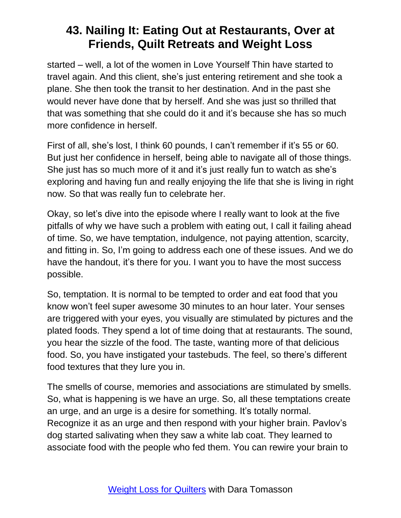started – well, a lot of the women in Love Yourself Thin have started to travel again. And this client, she's just entering retirement and she took a plane. She then took the transit to her destination. And in the past she would never have done that by herself. And she was just so thrilled that that was something that she could do it and it's because she has so much more confidence in herself.

First of all, she's lost, I think 60 pounds, I can't remember if it's 55 or 60. But just her confidence in herself, being able to navigate all of those things. She just has so much more of it and it's just really fun to watch as she's exploring and having fun and really enjoying the life that she is living in right now. So that was really fun to celebrate her.

Okay, so let's dive into the episode where I really want to look at the five pitfalls of why we have such a problem with eating out, I call it failing ahead of time. So, we have temptation, indulgence, not paying attention, scarcity, and fitting in. So, I'm going to address each one of these issues. And we do have the handout, it's there for you. I want you to have the most success possible.

So, temptation. It is normal to be tempted to order and eat food that you know won't feel super awesome 30 minutes to an hour later. Your senses are triggered with your eyes, you visually are stimulated by pictures and the plated foods. They spend a lot of time doing that at restaurants. The sound, you hear the sizzle of the food. The taste, wanting more of that delicious food. So, you have instigated your tastebuds. The feel, so there's different food textures that they lure you in.

The smells of course, memories and associations are stimulated by smells. So, what is happening is we have an urge. So, all these temptations create an urge, and an urge is a desire for something. It's totally normal. Recognize it as an urge and then respond with your higher brain. Pavlov's dog started salivating when they saw a white lab coat. They learned to associate food with the people who fed them. You can rewire your brain to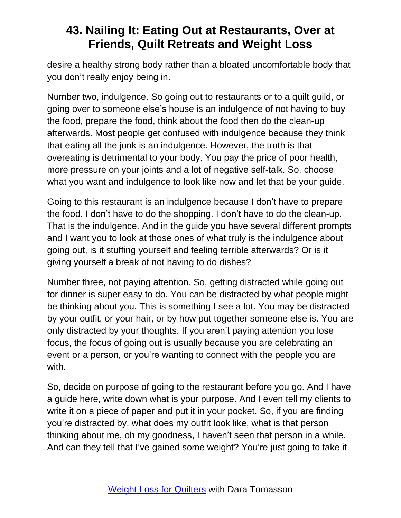desire a healthy strong body rather than a bloated uncomfortable body that you don't really enjoy being in.

Number two, indulgence. So going out to restaurants or to a quilt guild, or going over to someone else's house is an indulgence of not having to buy the food, prepare the food, think about the food then do the clean-up afterwards. Most people get confused with indulgence because they think that eating all the junk is an indulgence. However, the truth is that overeating is detrimental to your body. You pay the price of poor health, more pressure on your joints and a lot of negative self-talk. So, choose what you want and indulgence to look like now and let that be your guide.

Going to this restaurant is an indulgence because I don't have to prepare the food. I don't have to do the shopping. I don't have to do the clean-up. That is the indulgence. And in the guide you have several different prompts and I want you to look at those ones of what truly is the indulgence about going out, is it stuffing yourself and feeling terrible afterwards? Or is it giving yourself a break of not having to do dishes?

Number three, not paying attention. So, getting distracted while going out for dinner is super easy to do. You can be distracted by what people might be thinking about you. This is something I see a lot. You may be distracted by your outfit, or your hair, or by how put together someone else is. You are only distracted by your thoughts. If you aren't paying attention you lose focus, the focus of going out is usually because you are celebrating an event or a person, or you're wanting to connect with the people you are with.

So, decide on purpose of going to the restaurant before you go. And I have a guide here, write down what is your purpose. And I even tell my clients to write it on a piece of paper and put it in your pocket. So, if you are finding you're distracted by, what does my outfit look like, what is that person thinking about me, oh my goodness, I haven't seen that person in a while. And can they tell that I've gained some weight? You're just going to take it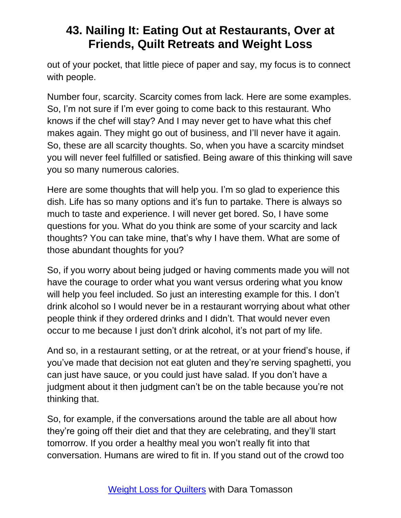out of your pocket, that little piece of paper and say, my focus is to connect with people.

Number four, scarcity. Scarcity comes from lack. Here are some examples. So, I'm not sure if I'm ever going to come back to this restaurant. Who knows if the chef will stay? And I may never get to have what this chef makes again. They might go out of business, and I'll never have it again. So, these are all scarcity thoughts. So, when you have a scarcity mindset you will never feel fulfilled or satisfied. Being aware of this thinking will save you so many numerous calories.

Here are some thoughts that will help you. I'm so glad to experience this dish. Life has so many options and it's fun to partake. There is always so much to taste and experience. I will never get bored. So, I have some questions for you. What do you think are some of your scarcity and lack thoughts? You can take mine, that's why I have them. What are some of those abundant thoughts for you?

So, if you worry about being judged or having comments made you will not have the courage to order what you want versus ordering what you know will help you feel included. So just an interesting example for this. I don't drink alcohol so I would never be in a restaurant worrying about what other people think if they ordered drinks and I didn't. That would never even occur to me because I just don't drink alcohol, it's not part of my life.

And so, in a restaurant setting, or at the retreat, or at your friend's house, if you've made that decision not eat gluten and they're serving spaghetti, you can just have sauce, or you could just have salad. If you don't have a judgment about it then judgment can't be on the table because you're not thinking that.

So, for example, if the conversations around the table are all about how they're going off their diet and that they are celebrating, and they'll start tomorrow. If you order a healthy meal you won't really fit into that conversation. Humans are wired to fit in. If you stand out of the crowd too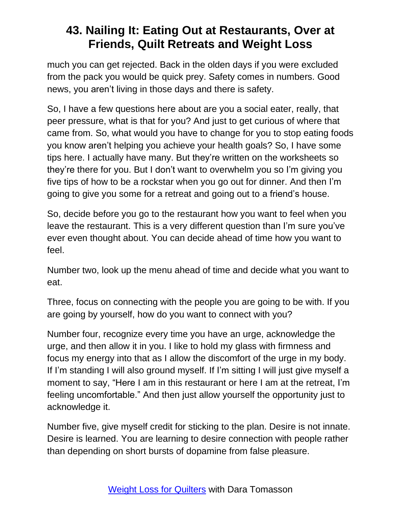much you can get rejected. Back in the olden days if you were excluded from the pack you would be quick prey. Safety comes in numbers. Good news, you aren't living in those days and there is safety.

So, I have a few questions here about are you a social eater, really, that peer pressure, what is that for you? And just to get curious of where that came from. So, what would you have to change for you to stop eating foods you know aren't helping you achieve your health goals? So, I have some tips here. I actually have many. But they're written on the worksheets so they're there for you. But I don't want to overwhelm you so I'm giving you five tips of how to be a rockstar when you go out for dinner. And then I'm going to give you some for a retreat and going out to a friend's house.

So, decide before you go to the restaurant how you want to feel when you leave the restaurant. This is a very different question than I'm sure you've ever even thought about. You can decide ahead of time how you want to feel.

Number two, look up the menu ahead of time and decide what you want to eat.

Three, focus on connecting with the people you are going to be with. If you are going by yourself, how do you want to connect with you?

Number four, recognize every time you have an urge, acknowledge the urge, and then allow it in you. I like to hold my glass with firmness and focus my energy into that as I allow the discomfort of the urge in my body. If I'm standing I will also ground myself. If I'm sitting I will just give myself a moment to say, "Here I am in this restaurant or here I am at the retreat, I'm feeling uncomfortable." And then just allow yourself the opportunity just to acknowledge it.

Number five, give myself credit for sticking to the plan. Desire is not innate. Desire is learned. You are learning to desire connection with people rather than depending on short bursts of dopamine from false pleasure.